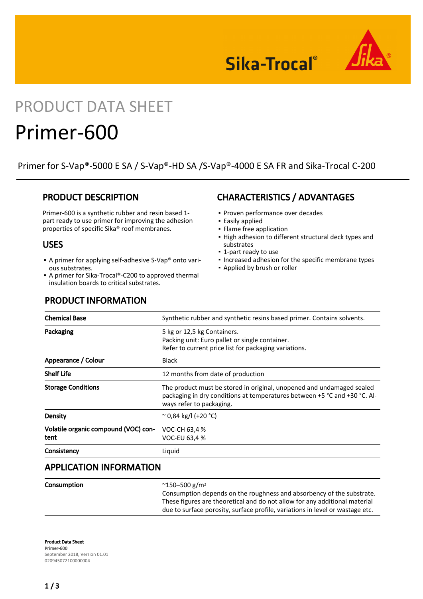



# PRODUCT DATA SHEET

# Primer-600

Primer for S-Vap®-5000 E SA / S-Vap®-HD SA /S-Vap®-4000 E SA FR and Sika-Trocal C-200

## PRODUCT DESCRIPTION

Primer-600 is a synthetic rubber and resin based 1 part ready to use primer for improving the adhesion properties of specific Sika® roof membranes.

### USES

- A primer for applying self-adhesive S-Vap® onto various substrates.
- A primer for Sika-Trocal®-C200 to approved thermal insulation boards to critical substrates.

# CHARACTERISTICS / ADVANTAGES

- Proven performance over decades
- Easily applied
- Flame free application
- High adhesion to different structural deck types and substrates
- 1-part ready to use
- Increased adhesion for the specific membrane types
- Applied by brush or roller

| <b>Chemical Base</b>                         | Synthetic rubber and synthetic resins based primer. Contains solvents.                                                                                                         |
|----------------------------------------------|--------------------------------------------------------------------------------------------------------------------------------------------------------------------------------|
| Packaging                                    | 5 kg or 12,5 kg Containers.<br>Packing unit: Euro pallet or single container.<br>Refer to current price list for packaging variations.                                         |
| Appearance / Colour                          | <b>Black</b>                                                                                                                                                                   |
| <b>Shelf Life</b>                            | 12 months from date of production                                                                                                                                              |
| <b>Storage Conditions</b>                    | The product must be stored in original, unopened and undamaged sealed<br>packaging in dry conditions at temperatures between +5 °C and +30 °C. Al-<br>ways refer to packaging. |
| Density                                      | $\approx$ 0.84 kg/l (+20 °C)                                                                                                                                                   |
| Volatile organic compound (VOC) con-<br>tent | VOC-CH 63,4 %<br>VOC-EU 63,4 %                                                                                                                                                 |
| Consistency                                  | Liquid                                                                                                                                                                         |

# APPLICATION INFORMATION

| Consumption | $^{\circ}$ 150–500 g/m <sup>2</sup>                                                                                                                         |
|-------------|-------------------------------------------------------------------------------------------------------------------------------------------------------------|
|             | Consumption depends on the roughness and absorbency of the substrate.                                                                                       |
|             | These figures are theoretical and do not allow for any additional material<br>due to surface porosity, surface profile, variations in level or wastage etc. |
|             |                                                                                                                                                             |

Product Data Sheet Primer-600 September 2018, Version 01.01 020945072100000004

### PRODUCT INFORMATION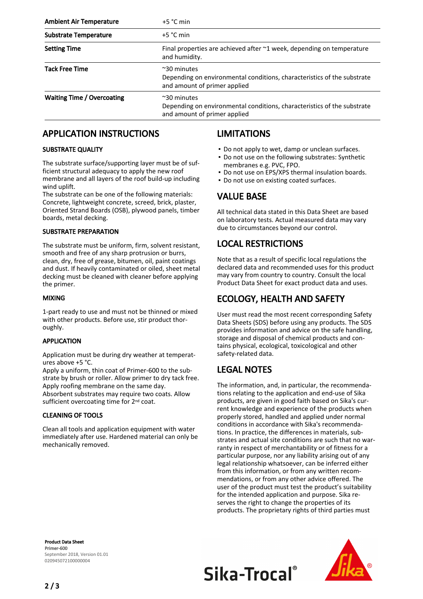| <b>Ambient Air Temperature</b>    | $+5$ °C min                                                                                                                   |
|-----------------------------------|-------------------------------------------------------------------------------------------------------------------------------|
| <b>Substrate Temperature</b>      | $+5$ °C min                                                                                                                   |
| <b>Setting Time</b>               | Final properties are achieved after $\sim$ 1 week, depending on temperature<br>and humidity.                                  |
| <b>Tack Free Time</b>             | $~\sim$ 30 minutes<br>Depending on environmental conditions, characteristics of the substrate<br>and amount of primer applied |
| <b>Waiting Time / Overcoating</b> | $~\sim$ 30 minutes<br>Depending on environmental conditions, characteristics of the substrate<br>and amount of primer applied |

## APPLICATION INSTRUCTIONS

#### SUBSTRATE QUALITY

The substrate surface/supporting layer must be of sufficient structural adequacy to apply the new roof membrane and all layers of the roof build-up including wind uplift.

The substrate can be one of the following materials: Concrete, lightweight concrete, screed, brick, plaster, Oriented Strand Boards (OSB), plywood panels, timber boards, metal decking.

#### SUBSTRATE PREPARATION

The substrate must be uniform, firm, solvent resistant, smooth and free of any sharp protrusion or burrs, clean, dry, free of grease, bitumen, oil, paint coatings and dust. If heavily contaminated or oiled, sheet metal decking must be cleaned with cleaner before applying the primer.

#### MIXING

1-part ready to use and must not be thinned or mixed with other products. Before use, stir product thoroughly.

#### APPLICATION

Application must be during dry weather at temperatures above +5 °C.

Apply a uniform, thin coat of Primer-600 to the substrate by brush or roller. Allow primer to dry tack free. Apply roofing membrane on the same day. Absorbent substrates may require two coats. Allow sufficient overcoating time for 2<sup>nd</sup> coat.

#### CLEANING OF TOOLS

Clean all tools and application equipment with water immediately after use. Hardened material can only be mechanically removed.

## LIMITATIONS

- Do not apply to wet, damp or unclean surfaces.
- Do not use on the following substrates: Synthetic membranes e.g. PVC, FPO.
- Do not use on EPS/XPS thermal insulation boards.
- Do not use on existing coated surfaces.

## VALUE BASE

All technical data stated in this Data Sheet are based on laboratory tests. Actual measured data may vary due to circumstances beyond our control.

## LOCAL RESTRICTIONS

Note that as a result of specific local regulations the declared data and recommended uses for this product may vary from country to country. Consult the local Product Data Sheet for exact product data and uses.

## ECOLOGY, HEALTH AND SAFETY

User must read the most recent corresponding Safety Data Sheets (SDS) before using any products. The SDS provides information and advice on the safe handling, storage and disposal of chemical products and contains physical, ecological, toxicological and other safety-related data.

## LEGAL NOTES

The information, and, in particular, the recommendations relating to the application and end-use of Sika products, are given in good faith based on Sika's current knowledge and experience of the products when properly stored, handled and applied under normal conditions in accordance with Sika's recommendations. In practice, the differences in materials, substrates and actual site conditions are such that no warranty in respect of merchantability or of fitness for a particular purpose, nor any liability arising out of any legal relationship whatsoever, can be inferred either from this information, or from any written recommendations, or from any other advice offered. The user of the product must test the product's suitability for the intended application and purpose. Sika reserves the right to change the properties of its products. The proprietary rights of third parties must

Product Data Sheet Primer-600 September 2018, Version 01.01 020945072100000004



Sika-Trocal®